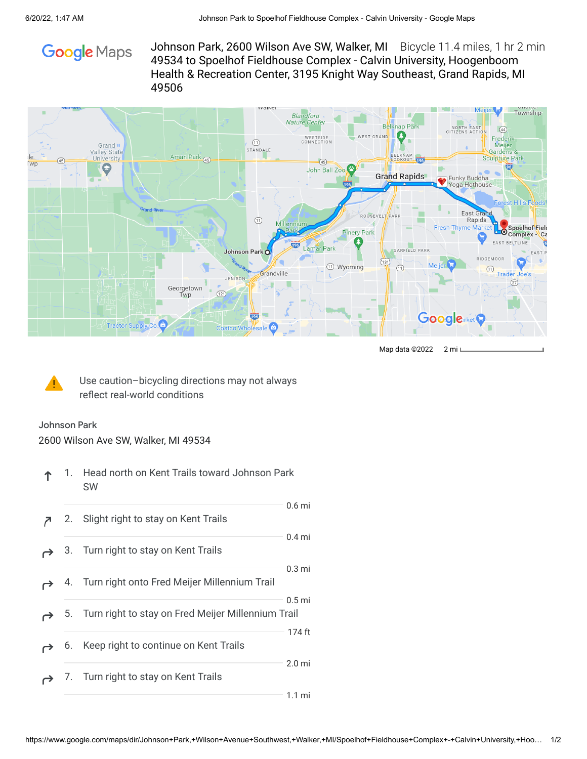

Johnson Park, 2600 Wilson Ave SW, Walker, MI Bicycle 11.4 miles, 1 hr 2 min 49534 to Spoelhof Fieldhouse Complex - Calvin University, Hoogenboom Health & Recreation Center, 3195 Knight Way Southeast, Grand Rapids, MI 49506



Map data ©2022 2 mi L



Use caution–bicycling directions may not always reflect real-world conditions

## Johnson Park

2600 Wilson Ave SW, Walker, MI 49534

- 1. Head north on Kent Trails toward Johnson Park ተ SW
- 2. Slight right to stay on Kent Trails 0.6 mi
- 3. Turn right to stay on Kent Trails 0.4 mi
- 4. Turn right onto Fred Meijer Millennium Trail 0.3 mi
- 0.5 mi
- 5. Turn right to stay on Fred Meijer Millennium Trail 174 ft
- 6. Keep right to continue on Kent Trails
- 2.0 mi 7. Turn right to stay on Kent Trails ⊖

1.1 mi